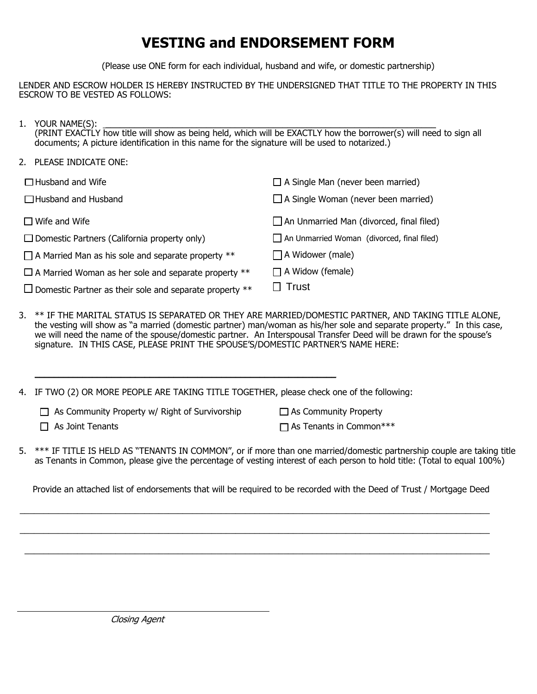## **VESTING and ENDORSEMENT FORM**

(Please use ONE form for each individual, husband and wife, or domestic partnership)

LENDER AND ESCROW HOLDER IS HEREBY INSTRUCTED BY THE UNDERSIGNED THAT TITLE TO THE PROPERTY IN THIS ESCROW TO BE VESTED AS FOLLOWS:

| 1. YOUR NAME(S):                                                                                                  |
|-------------------------------------------------------------------------------------------------------------------|
| (PRINT EXACTLY how title will show as being held, which will be EXACTLY how the borrower(s) will need to sign all |
| documents; A picture identification in this name for the signature will be used to notarized.)                    |

| 2. PLEASE INDICATE ONE: |  |
|-------------------------|--|
|                         |  |

| $\Box$ Husband and Wife                                        | $\Box$ A Single Man (never been married)          |  |
|----------------------------------------------------------------|---------------------------------------------------|--|
| $\Box$ Husband and Husband                                     | $\Box$ A Single Woman (never been married)        |  |
| $\Box$ Wife and Wife                                           | $\Box$ An Unmarried Man (divorced, final filed)   |  |
| $\Box$ Domestic Partners (California property only)            | $\Box$ An Unmarried Woman (divorced, final filed) |  |
| $\Box$ A Married Man as his sole and separate property **      | $\Box$ A Widower (male)                           |  |
| $\Box$ A Married Woman as her sole and separate property **    | $\Box$ A Widow (female)                           |  |
| $\Box$ Domestic Partner as their sole and separate property ** | $\square$ Trust                                   |  |

3. \*\* IF THE MARITAL STATUS IS SEPARATED OR THEY ARE MARRIED/DOMESTIC PARTNER, AND TAKING TITLE ALONE, the vesting will show as "a married (domestic partner) man/woman as his/her sole and separate property." In this case, we will need the name of the spouse/domestic partner. An Interspousal Transfer Deed will be drawn for the spouse's signature. IN THIS CASE, PLEASE PRINT THE SPOUSE'S/DOMESTIC PARTNER'S NAME HERE:

4. IF TWO (2) OR MORE PEOPLE ARE TAKING TITLE TOGETHER, please check one of the following:

 $\_$  , and the set of the set of the set of the set of the set of the set of the set of the set of the set of the set of the set of the set of the set of the set of the set of the set of the set of the set of the set of th

| $\Box$ As Community Property w/ Right of Survivorship | $\Box$ As Community Property |
|-------------------------------------------------------|------------------------------|
|                                                       |                              |

 $\Box$  As Joint Tenants As Tenants in Common \*\*\*

5. \*\*\* IF TITLE IS HELD AS "TENANTS IN COMMON", or if more than one married/domestic partnership couple are taking title as Tenants in Common, please give the percentage of vesting interest of each person to hold title: (Total to equal 100%)

Provide an attached list of endorsements that will be required to be recorded with the Deed of Trust / Mortgage Deed

 $\mathcal{L}_\mathcal{L} = \{ \mathcal{L}_\mathcal{L} = \{ \mathcal{L}_\mathcal{L} = \{ \mathcal{L}_\mathcal{L} = \{ \mathcal{L}_\mathcal{L} = \{ \mathcal{L}_\mathcal{L} = \{ \mathcal{L}_\mathcal{L} = \{ \mathcal{L}_\mathcal{L} = \{ \mathcal{L}_\mathcal{L} = \{ \mathcal{L}_\mathcal{L} = \{ \mathcal{L}_\mathcal{L} = \{ \mathcal{L}_\mathcal{L} = \{ \mathcal{L}_\mathcal{L} = \{ \mathcal{L}_\mathcal{L} = \{ \mathcal{L}_\mathcal{$ 

\_\_\_\_\_\_\_\_\_\_\_\_\_\_\_\_\_\_\_\_\_\_\_\_\_\_\_\_\_\_\_\_\_\_\_\_\_\_\_\_\_\_\_\_\_\_\_\_\_\_\_\_\_\_\_\_\_\_\_\_\_\_\_\_\_\_\_\_\_\_\_\_\_\_\_\_\_\_\_\_\_\_\_\_\_\_\_\_\_\_\_\_\_\_\_\_\_\_

 $\_$  , and the set of the set of the set of the set of the set of the set of the set of the set of the set of the set of the set of the set of the set of the set of the set of the set of the set of the set of the set of th